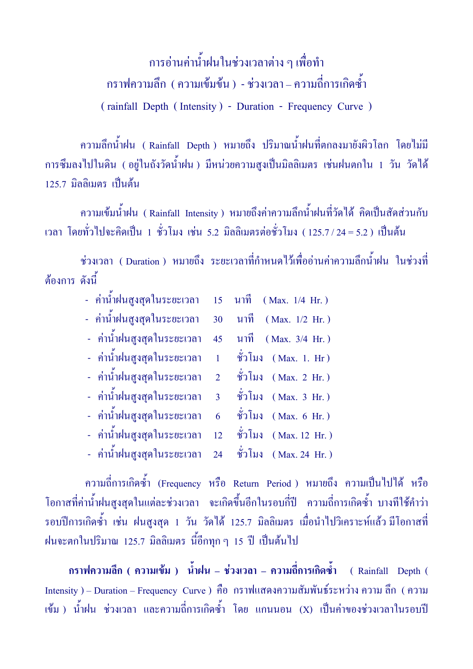การอ่านค่าน้ำฝนในช่วงเวลาต่าง ๆ เพื่อทำ กราฟความลึก ( ความเข้มข้น ) - ช่วงเวลา – ความถี่การเกิดซ้ำ ( rainfall Depth ( Intensity ) - Duration - Frequency Curve )

ี ความลึกน้ำฝน ( Rainfall Depth ) หมายถึง ปริมาณน้ำฝนที่ตกลงมายังผิวโลก โดยไม่มี การซึมลงไปในดิน ( อยู่ในถังวัดน้ำฝน ) มีหน่วยความสูงเป็นมิลลิเมตร เช่นฝนตกใน 1 วัน วัดได้ 125.7 มิลลิเมตร เป็นต้น

ี ความเข้มน้ำฝน (Rainfall Intensity) หมายถึงค่าความลึกน้ำฝนที่วัดได้ คิดเป็นสัดส่วนกับ เวลา โดยทั่วไปจะคิดเป็น 1 ชั่วโมง เช่น 5.2 มิลลิเมตรต่อชั่วโมง ( 125.7 / 24 = 5.2 ) เป็นต้น

ช่วงเวลา ( Duration ) หมายถึง ระยะเวลาที่กำหนดไว้เพื่ออ่านค่าความลึกน้ำฝน ในช่วงที่ ต้องการ ดังนี้

|  | - ค่าน้ำฝนสูงสุดในระยะเวลา 15 นาที (Max. 1/4 Hr.)   |  |                          |
|--|-----------------------------------------------------|--|--------------------------|
|  | - ค่าน้ำฝนสูงสุดในระยะเวลา 30 นาที (Max. 1/2 Hr.)   |  |                          |
|  | - ค่าน้ำฝนสูงสุดในระยะเวลา                          |  | 45 นาที (Max. 3/4 Hr.)   |
|  | - ค่าน้ำฝนสูงสุดในระยะเวลา 1 ชั่วโมง (Max. 1. Hr)   |  |                          |
|  | - ค่าน้ำฝนสูงสุดในระยะเวลา 2 ชั่วโมง (Max. 2 Hr.)   |  |                          |
|  | - ค่าน้ำฝนสูงสุดในระยะเวลา 3 ชั่วโมง (Max. 3 Hr.)   |  |                          |
|  | - ค่าน้ำฝนสูงสุดในระยะเวลา                          |  | $6$ ชั่วโมง (Max. 6 Hr.) |
|  | - ค่าน้ำฝนสูงสุดในระยะเวลา 12 ชั่วโมง (Max. 12 Hr.) |  |                          |
|  | - ค่าน้ำฝนสูงสุดในระยะเวลา 24 ชั่วโมง (Max.24 Hr.)  |  |                          |
|  |                                                     |  |                          |

ความถี่การเกิดซ้ำ (Frequency หรือ Return Period ) หมายถึง ความเป็นไปได้ หรือ โอกาสที่ค่าน้ำฝนสูงสุดในแต่ละช่วงเวลา จะเกิดขึ้นอีกในรอบกี่ปี ความถี่การเกิดซ้ำ บางทีใช้คำว่า รอบปีการเกิดซ้ำ เช่น ฝนสูงสุด 1 วัน วัดได้ 125.7 มิลลิเมตร เมื่อนำไปวิเคราะห์แล้ว $\,$ มีโอกาสที่ $\,$ ฝนจะตกในปริมาณ 125.7 มิลลิเมตร นี้อีกทุก ๆ 15 ปี เป็นต้นไป

ึกราฟความลึก ( ความเข้ม ) น้ำฝน – ช่วงเวลา – ความลี่การเกิดซ้ำ ( Rainfall Depth ( Intensity ) – Duration – Frequency Curve ) คือ กราฟแสดงความสัมพันธ์ระหว่าง ความ ลึก ( ความ เข้ม ) น้ำฝน ช่วงเวลา และความถี่การเกิดซ้ำ โดย แกนนอน (X) เป็นค่าของช่วงเวลาในรอบปี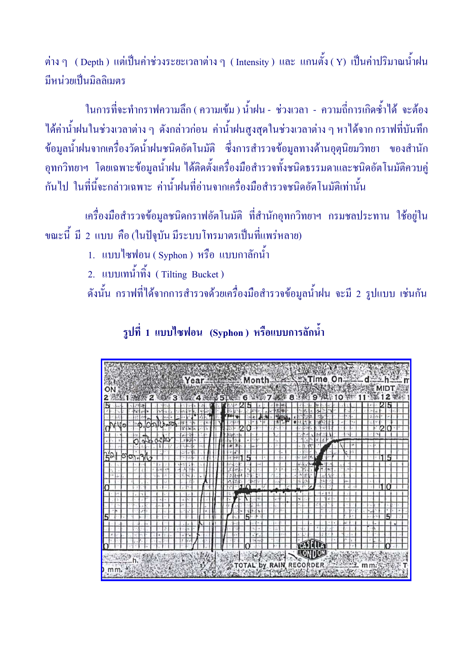ี่ ต่าง ๆ ( Depth ) แต่เป็นค่าช่วงระยะเวลาต่าง ๆ ( Intensity ) และ แกนตั้ง ( Y) เป็นค่าปริมาณน้ำฝน มีหน่วยเป็นมิลลิเมตร

ในการที่จะทำกราฟความลึก ( ความเข้ม ) น้ำฝน - ช่วงเวลา - ความถี่การเกิดซ้ำได้ จะต้อง ้ได้ค่าน้ำฝนในช่วงเวลาต่าง ๆ ดังกล่าวก่อน ค่าน้ำฝนสูงสุดในช่วงเวลาต่าง ๆ หาได้จาก กราฟที่บันทึก ี ข้อมูลน้ำฝนจากเครื่องวัดน้ำฝนชนิดอัตโนมัติ ซึ่งการสำรวจข้อมูลทางด้านอุตุนิยมวิทยา ของสำนัก ้อุทกวิทยาฯ โดยเฉพาะข้อมูลน้ำฝน ได้ติดตั้งเครื่องมือสำรวจทั้งชนิดธรรมดาและชนิดอัตโนมัติควบคู่ ้กันไป ในที่นี้จะกล่าวเฉพาะ ค่าน้ำฝนที่อ่านจากเครื่องมือสำรวจชนิดอัตโนมัติเท่านั้น

้เครื่องมือสำรวจข้อมูลชนิดกราฟอัตโนมัติ ที่สำนักอุทกวิทยาฯ กรมชลประทาน ใช้อยู่ใน ขณะนี้ มี 2 แบบ คือ (ในปัจุบัน มีระบบโทรมาตรเป็นที่แพร่หลาย)

1. แบบไซฟอน (Syphon) หรือ แบบกาลักน้ำ

2. แบบเทน้ำทิ้ง (Tilting Bucket)

้ คังนั้น กราฟที่ได้จากการสำรวจด้วยเครื่องมือสำรวจข้อมูลน้ำฝน จะมี 2 รูปแบบ เช่นกัน

รูปที่ 1 แบบไซฟอน (Syphon) หรือแบบการลักน้ำ

|  |  |  |  |  |  |  |  |  |  |  |                         |  |   |  |  |  |  |  |  |               |  |  |  |  |  | Year Month |  |  |  |  |
|--|--|--|--|--|--|--|--|--|--|--|-------------------------|--|---|--|--|--|--|--|--|---------------|--|--|--|--|--|------------|--|--|--|--|
|  |  |  |  |  |  |  |  |  |  |  | <b>5TWW</b>             |  | 6 |  |  |  |  |  |  |               |  |  |  |  |  |            |  |  |  |  |
|  |  |  |  |  |  |  |  |  |  |  |                         |  |   |  |  |  |  |  |  |               |  |  |  |  |  |            |  |  |  |  |
|  |  |  |  |  |  |  |  |  |  |  |                         |  |   |  |  |  |  |  |  |               |  |  |  |  |  |            |  |  |  |  |
|  |  |  |  |  |  |  |  |  |  |  |                         |  |   |  |  |  |  |  |  |               |  |  |  |  |  |            |  |  |  |  |
|  |  |  |  |  |  |  |  |  |  |  |                         |  |   |  |  |  |  |  |  |               |  |  |  |  |  |            |  |  |  |  |
|  |  |  |  |  |  |  |  |  |  |  |                         |  |   |  |  |  |  |  |  |               |  |  |  |  |  |            |  |  |  |  |
|  |  |  |  |  |  |  |  |  |  |  |                         |  |   |  |  |  |  |  |  |               |  |  |  |  |  |            |  |  |  |  |
|  |  |  |  |  |  |  |  |  |  |  |                         |  |   |  |  |  |  |  |  |               |  |  |  |  |  |            |  |  |  |  |
|  |  |  |  |  |  |  |  |  |  |  |                         |  |   |  |  |  |  |  |  |               |  |  |  |  |  |            |  |  |  |  |
|  |  |  |  |  |  |  |  |  |  |  |                         |  |   |  |  |  |  |  |  |               |  |  |  |  |  |            |  |  |  |  |
|  |  |  |  |  |  |  |  |  |  |  |                         |  |   |  |  |  |  |  |  |               |  |  |  |  |  |            |  |  |  |  |
|  |  |  |  |  |  |  |  |  |  |  |                         |  |   |  |  |  |  |  |  |               |  |  |  |  |  |            |  |  |  |  |
|  |  |  |  |  |  |  |  |  |  |  |                         |  |   |  |  |  |  |  |  |               |  |  |  |  |  |            |  |  |  |  |
|  |  |  |  |  |  |  |  |  |  |  |                         |  |   |  |  |  |  |  |  |               |  |  |  |  |  |            |  |  |  |  |
|  |  |  |  |  |  |  |  |  |  |  |                         |  |   |  |  |  |  |  |  |               |  |  |  |  |  |            |  |  |  |  |
|  |  |  |  |  |  |  |  |  |  |  |                         |  |   |  |  |  |  |  |  |               |  |  |  |  |  |            |  |  |  |  |
|  |  |  |  |  |  |  |  |  |  |  |                         |  |   |  |  |  |  |  |  |               |  |  |  |  |  |            |  |  |  |  |
|  |  |  |  |  |  |  |  |  |  |  |                         |  |   |  |  |  |  |  |  |               |  |  |  |  |  |            |  |  |  |  |
|  |  |  |  |  |  |  |  |  |  |  |                         |  |   |  |  |  |  |  |  |               |  |  |  |  |  |            |  |  |  |  |
|  |  |  |  |  |  |  |  |  |  |  |                         |  |   |  |  |  |  |  |  |               |  |  |  |  |  |            |  |  |  |  |
|  |  |  |  |  |  |  |  |  |  |  |                         |  |   |  |  |  |  |  |  |               |  |  |  |  |  |            |  |  |  |  |
|  |  |  |  |  |  |  |  |  |  |  |                         |  |   |  |  |  |  |  |  |               |  |  |  |  |  |            |  |  |  |  |
|  |  |  |  |  |  |  |  |  |  |  |                         |  |   |  |  |  |  |  |  |               |  |  |  |  |  |            |  |  |  |  |
|  |  |  |  |  |  |  |  |  |  |  |                         |  |   |  |  |  |  |  |  |               |  |  |  |  |  |            |  |  |  |  |
|  |  |  |  |  |  |  |  |  |  |  |                         |  |   |  |  |  |  |  |  | <b>TEAJ L</b> |  |  |  |  |  |            |  |  |  |  |
|  |  |  |  |  |  |  |  |  |  |  |                         |  |   |  |  |  |  |  |  |               |  |  |  |  |  |            |  |  |  |  |
|  |  |  |  |  |  |  |  |  |  |  |                         |  |   |  |  |  |  |  |  | FONDOW        |  |  |  |  |  |            |  |  |  |  |
|  |  |  |  |  |  |  |  |  |  |  |                         |  |   |  |  |  |  |  |  |               |  |  |  |  |  |            |  |  |  |  |
|  |  |  |  |  |  |  |  |  |  |  | TOTAL by RAIN RECORDER. |  |   |  |  |  |  |  |  |               |  |  |  |  |  |            |  |  |  |  |
|  |  |  |  |  |  |  |  |  |  |  |                         |  |   |  |  |  |  |  |  |               |  |  |  |  |  |            |  |  |  |  |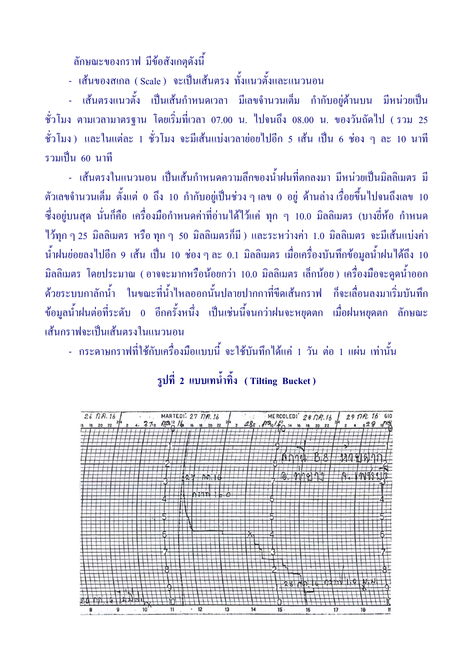ลักษณะของกราฟ มีข้อสังเกตดังนี้

- เส้นของสเกล (Scale) จะเป็นเส้นตรง ทั้งแนวตั้งและแนวนอน

- เส้นตรงแนวตั้ง เป็นเส้นกำหนดเวลา มีเลขจำนวนเต็ม กำกับอยู่ด้านบน มีหน่วยเป็น ์ชั่วโมง ตามเวลามาตรฐาน โดยเริ่มที่เวลา 07.00 น. ไปจนถึง 08.00 น. ของวันถัดไป (รวม 25 ชั่วโมง) และในแต่ละ 1 ชั่วโมง จะมีเส้นแบ่งเวลาย่อยไปอีก 5 เส้น เป็น 6 ช่อง ๆ ละ 10 นาที รวมเป็น 60 นาที

<u>- เส้นตรงในแนวนอน เป็นเส้นกำหนดความลึกของน้ำฝนที่ตกลงมา มีหน่วยเป็นมิลลิเมตร มี</u> ์ ตัวเลขจำนวนเต็ม ตั้งแต่ 0 ถึง 10 กำกับอยู่เป็นช่วง ๆ เลข 0 อยู่ ด้านล่างเรื่อยขึ้นไปจนถึงเลข 10 ์ ซึ่งอยู่บนสุด นั่นก็คือ เครื่องมือกำหนดค่าที่อ่านได้ไว้แค่ ทุก ๆ 10.0 มิลลิเมตร (บางยี่ห้อ กำหนด ไว้ทุก ๆ 25 มิลลิเมตร หรือ ทุก ๆ 50 มิลลิเมตรก็มี ) และระหว่างค่า 1.0 มิลลิเมตร จะมีเส้นแบ่งค่า ีน้ำฝนย่อยลงไปอีก 9 เส้น เป็น 10 ช่อง ๆ ละ 0.1 มิลลิเมตร เมื่อเครื่องบันทึกข้อมูลน้ำฝนได้ถึง 10 ้มิลลิเมตร โดยประมาณ (อาจจะมากหรือน้อยกว่า 10.0 มิลลิเมตร เล็กน้อย) เครื่องมือจะดูคน้ำออก ี ด้วยระบบกาลักน้ำ ในขณะที่น้ำไหลออกนั้นปลายปากกาที่ขีดเส้นกราฟ ก็จะเลื่อนลงมาเริ่มบันทึก ข้อมูลน้ำฝนต่อที่ระดับ 0 อีกครั้งหนึ่ง เป็นเช่นนี้จนกว่าฝนจะหยุดตก เมื่อฝนหยุดตก ลักษณะ เส้นกราฟจะเป็นเส้นตรงในแนวนอน

- กระดาษกราฟที่ใช้กับเครื่องมือแบบนี้ จะใช้บันทึกได้แค่ 1 วัน ต่อ 1 แผ่น เท่านั้น

|  | รูปที่ 2 แบบเทนำทิง (Tilting Bucket) |  |
|--|--------------------------------------|--|
|  |                                      |  |

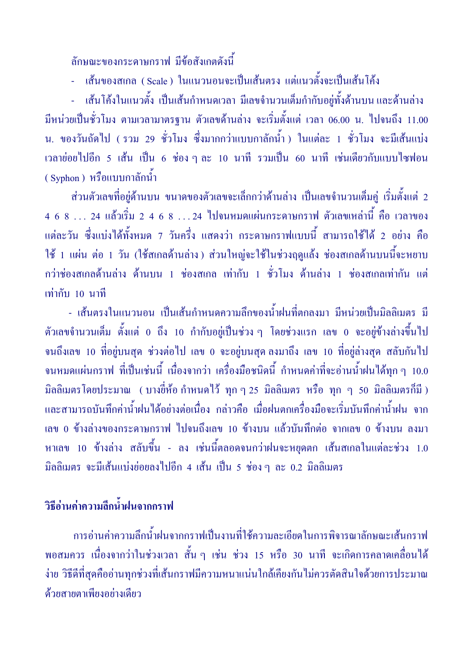์<br>ลักษณะของกระคาษกราฟ มีข้อสังเกตดังนี้

- เส้นของสเกล (Scale) ในแนวนอนจะเป็นเส้นตรง แต่แนวตั้งจะเป็นเส้นโค้ง

- เส้นโค้งในแนวตั้ง เป็นเส้นกำหนดเวลา มีเลขจำนวนเต็มกำกับอยู่ทั้งด้านบน และด้านล่าง ้มีหน่วยเป็นชั่วโมง ตามเวลามาตรฐาน ตัวเลขด้านล่าง จะเริ่มตั้งแต่ เวลา 06.00 น. ไปจนถึง 11.00 ีน. ของวันถัดไป (รวม 29 ชั่วโมง ซึ่งมากกว่าแบบกาลักน้ำ) ในแต่ละ 1 ชั่วโมง จะมีเส้นแบ่ง ี่ เวลาย่อยไปอีก 5 เส้น เป็น 6 ช่อง ๆ ละ 10 นาที รวมเป็น 60 นาที เช่นเดียวกับแบบไซฟอน (Syphon) หรือแบบกาลักน้ำ

ี ส่วนตัวเลขที่อยู่ด้านบน ขนาดของตัวเลขจะเล็กกว่าด้านล่าง เป็นเลขจำนวนเต็มคู่ เริ่มตั้งแต่ 2 ้แต่ละวัน ซึ่งแบ่งได้ทั้งหมด 7 วันครึ่ง แสดงว่า กระดาษกราฟแบบนี้ สามารถใช้ได้ 2 อย่าง คือ ใช้ 1 แผ่น ต่อ 1 วัน (ใช้สเกลด้านล่าง) ส่วนใหญ่จะใช้ในช่วงฤดูแล้ง ช่องสเกลด้านบนนี้จะหยาบ ิกว่าช่องสเกลด้านล่าง ด้านบน 1 ช่องสเกล เท่ากับ 1 ชั่วโมง ด้านล่าง 1 ช่องสเกลเท่ากัน แต่ เท่ากับ 10 บาที

- เส้นตรงในแนวนอน เป็นเส้นกำหนดความลึกของน้ำฝนที่ตกลงมา มีหน่วยเป็นมิลลิเมตร มี ์ ตัวเลขจำนวนเต็ม ตั้งแต่ 0 ถึง 10 กำกับอยู่เป็นช่วง ๆ โดยช่วงแรก เลข 0 จะอยู่ข้างล่างขึ้นไป ึ่งนถึงเลข 10 ที่อยู่บนสุด ช่วงต่อไป เลข 0 จะอยู่บนสุด ลงมาถึง เลข 10 ที่อยู่ล่างสุด สลับกันไป ้จนหมดแผ่นกราฟ ที่เป็นเช่นนี้ เนื่องจากว่า เครื่องมือชนิดนี้ กำหนดค่าที่จะอ่านน้ำฝนได้ทุก ๆ 10.0 ี่มิลลิเมตรโดยประมาณ (บางยี่ห้อ กำหนดไว้ ทุก ๆ 25 มิลลิเมตร หรือ ทุก ๆ 50 มิลลิเมตรกี่มี ) และสามารถบันทึกค่าน้ำฝนได้อย่างต่อเนื่อง กล่าวคือ เมื่อฝนตกเครื่องมือจะเริ่มบันทึกค่าน้ำฝน จาก ีเลข 0 ข้างล่างของกระดาษกราฟ ไปจนถึงเลข 10 ข้างบน แล้วบันทึกต่อ จากเลข 0 ข้างบน ลงมา หาเลข 10 ข้างล่าง สลับขึ้น - ลง เช่นนี้ตลอดจนกว่าฝนจะหยุดตก เส้นสเกลในแต่ละช่วง 1.0 ้มิลลิเมตร จะมีเส้นแบ่งย่อยลงไปอีก 4 เส้น เป็น 5 ช่อง ๆ ละ 0.2 มิลลิเมตร

## วิธีอ่านค่าความลึกน้ำฝนจากกราฟ

ีการอ่านค่าความลึกน้ำฝนจากกราฟเป็นงานที่ใช้ความละเอียดในการพิจารณาลักษณะเส้นกราฟ ี พอสมควร เนื่องจากว่าในช่วงเวลา สั้น ๆ เช่น ช่วง 15 หรือ 30 นาที จะเกิดการคลาดเคลื่อนได้ ง่าย วิธีดีที่สุดคืออ่านทุกช่วงที่เส้นกราฟมีความหนาแน่นใกล้เคียงกันไม่ควรตัดสินใจด้วยการประมาณ ด้วยสายตาเพียงอย่างเดียว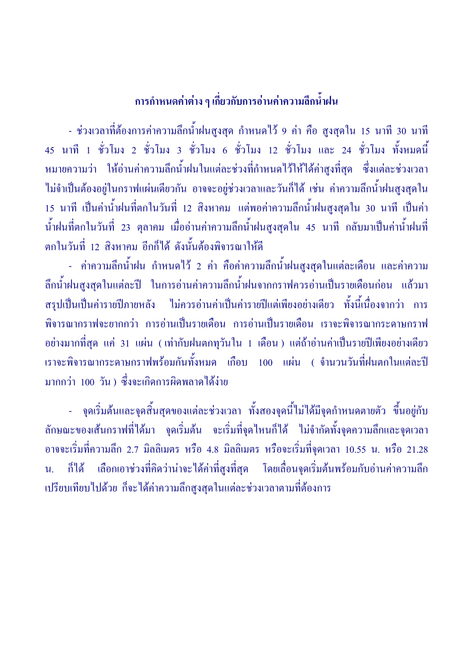## การกำหนดค่าต่าง ๆ เกี่ยวกับการอ่านค่าความลึกน้ำฝน

- ช่วงเวลาที่ต้องการค่าความลึกน้ำฝนสูงสุด กำหนดไว้ 9 ค่า คือ สูงสุดใน 15 นาที 30 นาที 45 นาที 1 ชั่วโมง 2 ชั่วโมง 3 ชั่วโมง 6 ชั่วโมง 12 ชั่วโมง และ 24 ชั่วโมง ทั้งหมดนี้ หมายความว่า ให้อ่านค่าความลึกน้ำฝนในแต่ละช่วงที่กำหนดไว้ให้ได้ค่าสูงที่สุด ซึ่งแต่ละช่วงเวลา ไม่จำเป็นต้องอยู่ในกราฟแผ่นเดียวกัน อาจจะอยู่ช่วงเวลาและวันก็ได้ เช่น ค่าความลึกน้ำฝนสูงสุดใน 15 นาที เป็นค่าน้ำฝนที่ตกในวันที่ 12 สิงหาคม แต่พอค่าความลึกน้ำฝนสูงสุดใน 30 นาที เป็นค่า น้ำฝนที่ตกในวันที่ 23 ตุลาคม เมื่ออ่านค่าความลึกน้ำฝนสูงสุดใน 45 นาที กลับมาเป็นค่าน้ำฝนที่ ตกในวันที่ 12 สิงหาคม อีกก็ได้ ดังนั้นต้องพิจารณาให้ดี

- ค่าความลึกน้ำฝน กำหนดไว้ 2 ค่า คือค่าความลึกน้ำฝนสูงสุดในแต่ละเดือน และค่าความ ลึกน้ำฝนสูงสุดในแต่ละปี ในการอ่านก่าความลึกน้ำฝนจากกราฟควรอ่านเป็นรายเดือนก่อน แล้วมา สรุปเป็นเป็นค่ารายปีภายหลัง ไม่ควรอ่านค่าเป็นค่ารายปีแต่เพียงอย่างเดียว ทั้งนี้เนื่องจากว่า การ พิจารณากราฟจะยากกว่า การอ่านเป็นรายเคือน การอ่านเป็นรายเคือน เราจะพิจารณากระคาษกราฟ อย่างมากที่สุด แค่ 31 แผ่น (เท่ากับฝนตกทุวันใน 1 เดือน ) แต่ถ้าอ่านค่าเป็นรายปีเพียงอย่างเดียว เราจะพิจารณากระดาษกราฟพร้อมกันทั้งหมด เกือบ 100 แผ่น ( จำนวนวันที่ฝนตกในแต่ละปี มากกว่า 100 วัน ) ซึ่งจะเกิดการผิดพลาดได้ง่าย

- \_ จุดเริ่มต้นและจุดสิ้นสุดของแต่ละช่วงเวลา ทั้งสองจุดนี้ไม่ได้มีจุดกำหนดตายตัว ขึ้นอยู่กับ ลักษณะของเส้นกราฟที่ได้มา จุดเริ่มต้น จะเริ่มที่จุดไหนก็ได้ ไม่จำกัดทั้งจุดความลึกและจุดเวลา อาจจะเริ่มที่ความลึก 2.7 มิลลิเมตร หรือ 4.8 มิลลิเมตร หรือจะเริ่มที่จุดเวลา 10.55 น. หรือ 21.28 น. ก็ได้ เลือกเอาช่วงที่คิดว่าน่าจะได้ค่าที่สูงที่สุด โดยเลื่อนจุดเริ่มต้นพร้อมกับอ่านค่าความลึก เปรียบเทียบไปด้วย ก็จะได้ค่าความลึกสูงสุดในแต่ละช่วงเวลาตามที่ต้องการ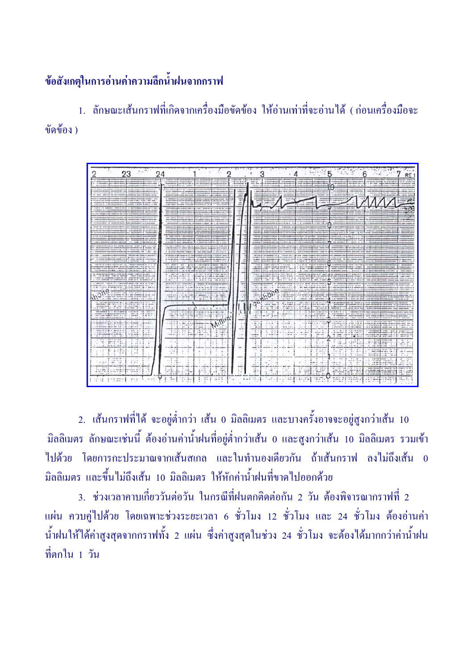## ช้อสังเกตุในการอ่านค่าความลึกน้ำฝนจากกราฟ

1 อักษณะเส้นกราฟที่เกิดจากเครื่องมือขัดข้อง ให้อ่าบเท่าที่จะอ่าบได้ (ก่อบเครื่องมือจะ ขัดข้อง )

|                                                                                                                                                                                                                                                                                                                                                                                                                                                                                               | 24                                                                                                                                                                                                                                                                                                                                                                                                   |                                                                                                                | 5<br>$\sim$<br>RE<br>n                                                                                                                                                                                                                                                                                                                                                                                                                                                                                                                                                                                                      |
|-----------------------------------------------------------------------------------------------------------------------------------------------------------------------------------------------------------------------------------------------------------------------------------------------------------------------------------------------------------------------------------------------------------------------------------------------------------------------------------------------|------------------------------------------------------------------------------------------------------------------------------------------------------------------------------------------------------------------------------------------------------------------------------------------------------------------------------------------------------------------------------------------------------|----------------------------------------------------------------------------------------------------------------|-----------------------------------------------------------------------------------------------------------------------------------------------------------------------------------------------------------------------------------------------------------------------------------------------------------------------------------------------------------------------------------------------------------------------------------------------------------------------------------------------------------------------------------------------------------------------------------------------------------------------------|
| or work &<br><b>LOOKING HATE &amp;</b><br><b>COMMERCIAL</b><br><b>CONTRACTOR</b><br>distants by<br>contracted at the court can be of                                                                                                                                                                                                                                                                                                                                                          | <b>MACARINAMENT RELEASED FOR ASS</b><br><b>A DISCUSSION</b><br>stark come down.<br>-----<br>on an eranced<br>---<br>120810-0012<br>a more company of the<br><b>C. MONT</b>                                                                                                                                                                                                                           | 1.000 chief Members<br>- Scontine 41<br>to drive because                                                       | ------<br><b>CT-BONNE MOR-18</b><br>some at<br>---------<br>----<br>retired accords in a se-<br><b>NORTHERN</b><br><b>Standard Management Standard Constitution</b><br>its detect takened &<br><br><b>START STARTED</b><br><b>CALIFORNIA DE</b><br>as a close as spiral dealership<br><b>START OF</b><br>the four-true size &<br>Life Anderson Contract and<br>----                                                                                                                                                                                                                                                         |
| <b>Brookly and Controller State</b><br>-----<br>produced a statute detail. Accompany's<br>more, search's resides<br><b>Brookbook built-of trees as at</b><br><b>HERE'S GONNA'LLOCAL LINES</b>                                                                                                                                                                                                                                                                                                 | <b>STATISTICS</b><br>----<br><b>SECOND BOOK</b><br><b>Brown at Anna</b><br>_____<br>_______<br><b>STOR BOOK \$1, LEADS TO THE</b><br>senior & pacientments<br><b>Brokering derig I says such a big</b><br><b>CONTINUES IN CARD ON</b><br>an auto &<br>A comment of the collect continues of                                                                                                          | $\frac{1}{2} \left( \frac{1}{2} \right) \left( \frac{1}{2} \right) \left( \frac{1}{2} \right)$<br><b>TANKS</b> | <b><i>DESCRIPTION AND</i></b><br>$-200$<br>--<br><b>AND ADDRESS OF THE ABOVE AND</b><br>$-$                                                                                                                                                                                                                                                                                                                                                                                                                                                                                                                                 |
| consider at relation and in and is analyzed that is apply to the<br><b>COMPANIES &amp; COURT AND</b><br>change of course of the bank                                                                                                                                                                                                                                                                                                                                                          | <b><i><u>BIT &amp; ISLES BERRIES</u></i></b><br><b>START COMPANY &amp; Mondays AV 148</b><br><b>STARTING</b><br><b>CONTRACTOR</b><br>the company's production with the state of<br><b>CONTRACT</b><br>1999 9100                                                                                                                                                                                      | -<br>$= 4$                                                                                                     |                                                                                                                                                                                                                                                                                                                                                                                                                                                                                                                                                                                                                             |
| <b>THAT THE REPORT OF GALAXIES</b>                                                                                                                                                                                                                                                                                                                                                                                                                                                            | <b>ARCHIVES</b><br>come come described in the determination<br><b>WELL-</b><br><b>COLUMN 2 BLUES WE GIVE</b><br>$-$<br><b>PERSONAL BUSINESS IN COLUMN 2 IS NOT THE OWNER.</b>                                                                                                                                                                                                                        | -<br>۰<br>-<br>-                                                                                               | <b><i><u>REGISTER</u></i></b>                                                                                                                                                                                                                                                                                                                                                                                                                                                                                                                                                                                               |
| ------<br><b>MARINE - A ST - STATISTICS</b><br><b>CAR DEMONSTRATION CONTINUES</b>                                                                                                                                                                                                                                                                                                                                                                                                             | <b>S DATE WITH</b><br>-----------<br>-<br><b>Continental</b><br><b><i><u>ABUSERS #10.8</u></i></b><br>------<br><b>Hallmoon deriver editor</b><br>singular honger and determined the considered                                                                                                                                                                                                      |                                                                                                                |                                                                                                                                                                                                                                                                                                                                                                                                                                                                                                                                                                                                                             |
| <b>Link of the commitment of the commitment</b><br><b>MORE &amp; CARACTER</b><br><b>Interester in book per blue at</b><br><b>Broken Women</b><br><b>Brownsman &amp; Just be an ac-</b>                                                                                                                                                                                                                                                                                                        | --<br><b>Show shows continue</b><br>$-$<br>------<br>the Australian and a decomposition of<br><b>Commission Commission</b><br><b>Electronical designation de pa</b><br>experience around to<br>A in the cost detailer processible.<br><b>STARTING</b>                                                                                                                                                |                                                                                                                | <b>STORES COMPANY</b><br><b>No is an a famous in a 1 ve a</b><br><b><i>STARRE RE</i></b><br><b>SERVICE AND BUILD</b><br>________                                                                                                                                                                                                                                                                                                                                                                                                                                                                                            |
| the communication<br>-<br>the man eight in can<br>painted companies in contribution on most<br>commention & move on<br>in and the best process to<br>------                                                                                                                                                                                                                                                                                                                                   | conceives done cars.<br>entrols and the permanent modern triangle at \$1.00<br>for the a mean-like court in good most state grow is ordered<br>THE REPORT OF THE REAL PROPERTY INTO A REPORT OF A                                                                                                                                                                                                    | $\overline{\phantom{a}}$<br>٠                                                                                  | <b>MARK AT A</b><br><b><i><u>POLIS WITH B R TO</u></i></b><br>pack or principal advertisers (p); clear 11-to the magnetic day<br>an all carments are no detect to render than detector<br><b>Annual Car Mont - ground and car</b><br><b>STANDING</b><br><b>NUMBER</b>                                                                                                                                                                                                                                                                                                                                                       |
| to continuance and children<br>-<br>senate & look and as an exchange<br>agreement in product was use on a<br><b>THE CAMBRICK &amp;</b><br>WHO FALLEY & CANADALAS<br>which the new developing terminals of determinant - with  in 1984.                                                                                                                                                                                                                                                        | Think completely to who wild be<br><b><i><u>PERSONAL LIGHT OF STREET OF STREET OF STREET OF STREET OF STREET OF STREET OF STREET OF STREET OF STREET OF ST</u></i></b><br>a consideration and<br><b><i>CARDINAL DIAS</i></b><br>at this case had to be a committed that<br>on some powerful too recoverants<br>A contract and the con-<br><b>ART 640</b><br>alabet allevabancer, & visitate in a 16- | 14<br>                                                                                                         | called and CB 16-14 minutes<br>scapes druck postessing gain content on a call in contrast<br><br>THE R. P. LEWIS CO., LANSING, MICH. 49-14039-1-120-2<br>to a no anteresse or by                                                                                                                                                                                                                                                                                                                                                                                                                                            |
| <b>COMPANY OF A P 10 YEAR</b><br><b>CONSULTANT OF A</b><br><b>A MANAGER 1 19 &amp; 19 &amp; 1 4 +</b><br><b>CONTRACTOR</b> MOTOR<br>on sense I is done generate at hate-tonici                                                                                                                                                                                                                                                                                                                | profession generation make in grow is seen a customer expense on                                                                                                                                                                                                                                                                                                                                     | -<br>$\sim$                                                                                                    | consideration of consideration.<br>$-0.000$<br>۰<br>series to provide the series to be looks.<br><b>CONTRACTOR</b><br><b>BOT BLOWER ON A BOT TRICK OF A B</b><br>compression or mone guitar and support with<br>. .<br>comment in comments on                                                                                                                                                                                                                                                                                                                                                                               |
| the arrest in order than<br>count comes avenue<br>car as were the first models.<br><b>CONTRACTOR</b><br>to at considerable a velocities of<br>when he's decomple about the to<br><b>CONTRACTOR</b><br><b>British and A. Contribution and a</b><br>that are discussed about the lang-                                                                                                                                                                                                          | the company's company's and the company's company's company's<br>$-$<br><b>Service State</b><br>the first space of the project property state.<br>$-1444$<br>$-11$                                                                                                                                                                                                                                   |                                                                                                                | <b>COMMERCIAL</b><br>A sind with the first A company of the Company and Armed And Company<br>The commission of the Education of<br>tests which gives a material and associated an excellent<br>------<br>------------<br><b>Lighting</b><br>there are no declined assessed to the tensor of the<br><b>CONTINUES</b><br>of London St.<br>$-0.000$<br>Calgary.<br><b>IF MINE MORTINGER ARE</b>                                                                                                                                                                                                                                |
| an advice a comment residence of the an exchange of the a<br>410.42. @ moving at \$21.1<br>1.00 000 0 10 1 00 1<br>59.79<br>$11 - 1 - 1$                                                                                                                                                                                                                                                                                                                                                      | stress don't a a c 1 a months<br><b><i>STATE TO SANDROOM OF</i></b><br><b>PRICE &amp; BECCA OF ABLI</b><br>$0.018 - 0.228 - 0.002$<br><b><i>BRCBIO</i></b><br>0 4 - 00 \$ 0.00 - 00 / 10<br>MESSING HE ARE AN ARRANGEMENT<br><b>CONTINUES INTO A REPORT OF A 44 YO F.</b><br><b>BUY BY START IN</b><br><b>Widdhick &amp; mo</b><br>Accounts of their                                                 | ٠<br>$\rightarrow$<br><b>CANCE</b>                                                                             | and the first state of the commission of the set of the set of the set of<br><b>SERVICE AND</b><br>and of the train decouporters<br>1. Selected and property and at a context of an<br><b>PAID RT AND CONSULT &amp;</b><br><b><i>KONE</i></b> Electronic Terms<br>and assessment to the control of the<br>driver special and<br>----<br><b>COMPANY</b>                                                                                                                                                                                                                                                                      |
| 11 ABC STORES & WIND 181<br>All Alle Arts said. Walker books<br>I women all power \$ post stun-<br>tion added cannot sense.<br>10 Month 4 11 0 W 11 10 W 14<br>transport and the original                                                                                                                                                                                                                                                                                                     | which will do not your history<br>to demission the Brand of Content<br>search.<br>619-00E-3<br><b><i>Harry House</i></b><br>All of the fact<br>All Address States<br>                                                                                                                                                                                                                                |                                                                                                                | <b>Edward</b><br>additional accompanies says. Advert-<br>the car<br>contractor in<br><b>STAR</b><br>a production for a second-second<br>A 19 YEAR OLD MALE REPORTED HER COMPANY. THE CARD CARD OF A 19 YEAR<br>m Ka<br>$1 - 20 - 1$<br>$-200 - 100 = 16 + 100 = 000 = 00$<br>a characteristic data in the contract of<br><b>ARMAY</b><br>$-10$<br><b>FOR RAINING</b><br><b>VALUE DOGS</b><br>any determine<br><b>African Internet Pro</b><br>Sealer-Silk durable at 1100 at 100 per und<br><b>WARRANTE</b>                                                                                                                  |
| <b>DELLI GIO IL IN 6</b><br><b>DEED # -2 \$ 20 \$1 \$1</b><br>en a sinistematic productor<br><b><i><u>Product in the form for a state</u></i></b><br>$-46 - 441x$<br><b>OR BER</b><br>come to an advance project a com-<br>sugar and control to your                                                                                                                                                                                                                                          | $\sim$<br>1.041919384<br>$\cdots$<br><b>ALC N</b><br>A company<br>With course, the party interesting<br><b>AT #100 \$400</b><br>ner in<br>commission process ha in<br>Bit in send and man.                                                                                                                                                                                                           |                                                                                                                | $\frac{1}{2}$<br>$1 - 200$ and $-1$<br>$-2000000$<br><b><i>SHERT &amp; C</i></b><br>at con er<br>MARKER ST. FOR STREET<br>49.7109.00<br>de destruyentes de termination consti-<br>--<br>---<br><br>$+ -$<br>sec.<br><b>District model Library</b><br><b>MAG</b><br>9. 112.110 A. Browne<br><b>A go we give 1 post 1 box 1 post home</b><br><b>MONEY BUILDER</b><br>taken where modern a house and approximate the<br><b><i>OF CONSULTS - ALECOMORA</i></b><br>at the series sense<br>$-0.000$<br>det die : 41.814                                                                                                           |
| THE REPORT FOR ALL PARTIES OF THE 2-B.<br>and I will have a control of the<br><b>ALCOHOL:</b><br>weekend for example<br>companies of decision and<br><b>CAN CASTA &amp;</b><br>consider por en ca.<br>2000 0 A C F & LLAVE                                                                                                                                                                                                                                                                    | $\overline{\phantom{a}}$<br>100111-012<br><b>8-4-64</b><br>$\cdots$<br><br><b><i><u>Independent</u></i></b> of the a<br><b>B10 B &amp; Freeck or</b><br>$-111.4$<br>And Abilities<br><b>ALCOHOL: A</b>                                                                                                                                                                                               |                                                                                                                | <br><b>PE 000 B</b><br>36<br>8.016<br>$-184.409$<br>CROWDERS BY CREW YOU<br>said common in his act<br>86.01<br><b>A = 9 W 1999</b><br>the former come in the more.<br>the government with the<br>comment on \$1.000 mp.m.<br>$-$<br><b>ARLW 1</b><br>and bearings.<br>THE REPORT OF A R.<br>collected at large station as applied<br><b>President</b><br>--------------<br>$-1$<br>$8 - 1 = 1 - 4$<br>$.1 - 4$<br>.<br>A Montanana \$1 man or an in<br><b>BURGHA ALL ME</b><br><b>Big off</b><br>110,110<br><b>Marie Allied</b><br>$-$<br>a shortly build in the back back<br>in a car security country cars, a<br>WHEN YOU |
| delas indeksionesiaksi<br><b>MANAGER PA - BY MANAGER</b><br>Street # 10 10 x 10 state # 20<br><b>BR. Y.L.</b><br>14<br>a way with the company of the<br>Within the<br><b>FOR LIGHTING RESIDENTS</b><br>17.00 MM 3<br>Britain w. o.<br>$-0.0001 - 0.0001$<br>$1 - 24 - 41$<br>$-$<br><b>1.800</b><br>1.111                                                                                                                                                                                     | <b>MET TO BUT UPP GOTS BOTH</b><br><b>SHOW TRIVIAL WIND</b><br>$-$ 00 mm $+$<br>tur.<br>11.507<br>7.7.1<br>1.144<br>case is<br>$ -$<br><b>A 100</b><br><br>11.19.7<br>$8 - 9 - 8$                                                                                                                                                                                                                    | --<br><b>HARA</b>                                                                                              | $\rightarrow$<br>1.11<br>the most discussions<br>The state and the<br>1.11<br><br>$\mathbf{r}$<br>-maintenance expect - ap / c<br>W. Millermann<br><b>STARTING</b><br>At the Mary 148<br>1. 2. 00 00 00<br>$\frac{1}{2}$<br>7.22.17.22.1<br>A straight<br><b>HEARING</b><br>(1/80)<br>$1.48 - 1.1$<br><b>CONTRACTOR</b>                                                                                                                                                                                                                                                                                                     |
| $8 - 11 + 04$<br>particle in the<br>the Co<br>$-20.5$<br>$-1.91$<br><b>COLOR</b><br>1.11<br>                                                                                                                                                                                                                                                                                                                                                                                                  | $\sim$<br>m.<br>$+ -$<br><b>Liders</b>                                                                                                                                                                                                                                                                                                                                                               | $\rightarrow$                                                                                                  | $1.1 - 3.1$<br>1.5<br>400 U.S.<br>$-0.01$<br>4-1- 80-ME TOURS 0-00<br>$\frac{1}{2}$<br><b>Security</b><br><b>TORE 2 60</b><br>٠<br>$-1.4 -$<br>$-1$<br>$\sim$<br>00000011.01<br>101.00<br>$39' = 600$<br>the company and the season of a<br>٠<br>7.141<br>1<br>modeled the<br>49-440-0 14-61-<br>4 - 08 degement virus<br>ALC: U<br>--<br><b><i><u><u>ATANG AME</u></u></i></b><br><b>A 19- MATAON ANAHOL MITORS</b><br><b>Rocker School and The American Columns</b><br>------                                                                                                                                             |
| <b>L</b> may<br>$-7.4$<br>$\mathcal{P}^{\text{max}}$<br>1.44<br>14.09.96<br>٠                                                                                                                                                                                                                                                                                                                                                                                                                 | .<br>$\sim$                                                                                                                                                                                                                                                                                                                                                                                          |                                                                                                                | - 1<br>$\cdots$<br>7.227<br>$-1.44$<br>$-1$<br>734.08 18<br>$-0.0 - 0.00$<br>THE AT ANNUAL<br>5.11<br>$-6 - 18 - 17$<br>12.12<br>drive detects a concentrate<br>٠<br>7.7<br>$4-1$<br>$-2.21$<br>$= 800$<br><b>BERGER W. BLOOD</b><br>$-$<br>÷.<br>$\sim$<br>$+ +$<br><br>A drawing determined to the<br>6.6<br>$\epsilon$                                                                                                                                                                                                                                                                                                   |
| $4 - 140$ , $40 + 3$ .<br>$-0.001$<br>$-494$ $+494$<br>$-7.5$<br>the control and the<br>$-$<br>Chairman<br><br>$-0.44 - 0.7$<br>$\theta$ : $\phi$ , we get in a<br>$n = 14$<br>arment war                                                                                                                                                                                                                                                                                                     | --<br>$\rightarrow$<br>$-48.7$<br><b>ALCOHOL:</b>                                                                                                                                                                                                                                                                                                                                                    |                                                                                                                | ٠<br>critical end of the special critical<br>$-24$<br>14 W. A. 1911<br>:52.00<br>$22 - 222$<br>penis mix<br>$1 - 11$<br>$\cdots$<br>a mass scores sent<br>------<br>÷<br><b>MOLEN MAY</b><br>and the company of the<br>$-20.2$<br><b>BM</b> 0.1-0<br>$-2 - 2 - 8$<br>seem stores \$ # cape at up \$<br>Construction day and<br>mini i<br>$\sim$<br><b>Contractor</b><br><b>LOW OF BUY</b>                                                                                                                                                                                                                                   |
| $\begin{array}{cccccccccccccc} \mathbf{u} & \mathbf{u} & \mathbf{u} & \mathbf{u} & \mathbf{u} & \mathbf{u} & \mathbf{u} & \mathbf{u} & \mathbf{u} & \mathbf{u} & \mathbf{u} & \mathbf{u} & \mathbf{u} & \mathbf{u} & \mathbf{u} & \mathbf{u} & \mathbf{u} & \mathbf{u} & \mathbf{u} & \mathbf{u} & \mathbf{u} & \mathbf{u} & \mathbf{u} & \mathbf{u} & \mathbf{u} & \mathbf{u} & \mathbf{u} & \mathbf{u} & \mathbf{u} & \mathbf{u} &$<br><b>BR 000 \$1,500</b><br>$8 - 6$ (m) $-$ (m) $4 + 1$ | <b>MAIL BOX</b><br>$+ -$<br>$40 - 0.41$<br>$\cdots$<br>10.00<br>$-2.8$<br>14                                                                                                                                                                                                                                                                                                                         |                                                                                                                | contract and contract and<br>comment and contract of the comment<br>$\blacksquare \blacksquare \blacksquare \blacksquare \blacksquare \blacksquare \blacksquare \blacksquare$<br>------<br>8.5.024<br>٠<br>$-1$<br>$\cdots$<br>$\cdots$<br>$+11$<br><b>ALLEN #</b><br><b>British R</b><br><b>CONTRACTOR</b><br>created and consent on<br>FOX: BULL<br>di Lines<br>100001<br>$\rightarrow$<br>18899998<br>10110-012<br>continued contracts<br>1999834                                                                                                                                                                        |

2. เส้นกราฟที่ได้ จะอยู่ต่ำกว่า เส้น 0 มิลลิเมตร และบางครั้งอาจจะอยู่สูงกว่าเส้น 10 ้มิลลิเมตร ลักษณะเช่นนี้ ต้องอ่านค่าน้ำฝนที่อยู่ต่ำกว่าเส้น 0 และสูงกว่าเส้น 10 มิลลิเมตร รวมเข้า ไปด้วย โดยการกะประมาณจากเส้นสเกล และในทำนองเดียวกัน ถ้าเส้นกราฟ ลงไม่ถึงเส้น 0 ้มิลลิเมตร และขึ้นไม่ถึงเส้น 10 มิลลิเมตร ให้หักค่าน้ำฝนที่ขาดไปออกด้วย

3. ช่วงเวลาคาบเกี่ยววันต่อวัน ในกรณีที่ฝนตกติดต่อกัน 2 วัน ต้องพิจารณากราฟที่ 2 แผ่น ควบคู่ไปด้วย โดยเฉพาะช่วงระยะเวลา 6 ชั่วโมง 12 ชั่วโมง และ 24 ชั่วโมง ต้องอ่านค่า น้ำฝนให้ได้ค่าสูงสุดจากกราฟทั้ง 2 แผ่น ซึ่งค่าสูงสุดในช่วง 24 ชั่วโมง จะต้องได้มากกว่าค่าน้ำฝน ที่ตกใน 1 วัน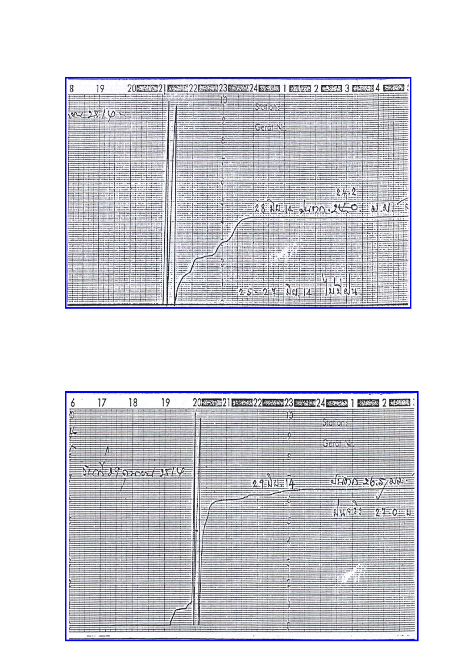